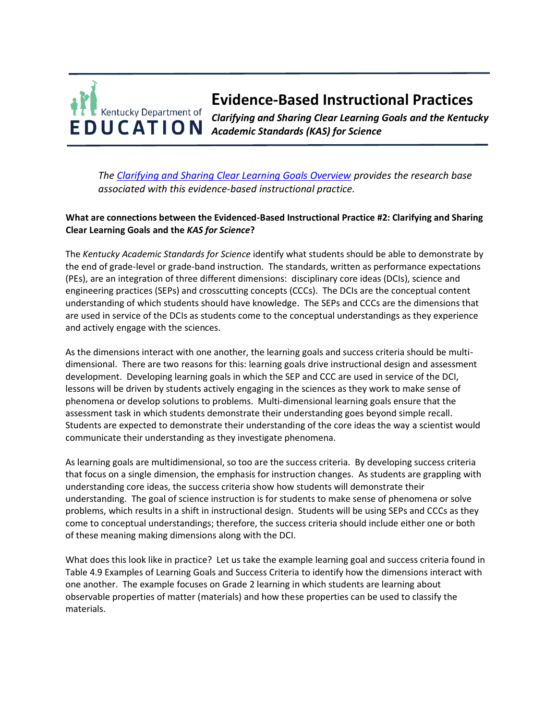## **Evidence-Based Instructional Practices**  Kentucky Department of *Clarifying and Sharing Clear Learning Goals and the Kentucky*  **EDUCATION** *Academic Standards (KAS) for Science*

*The [Clarifying and Sharing Clear Learning Goals Overview](https://education.ky.gov/curriculum/standards/kyacadstand/Documents/EBIP_2_Clarifying_and_Sharing_Clear_Learning_Goals.pdf) provides the research base associated with this evidence-based instructional practice.*

## **What are connections between the Evidenced-Based Instructional Practice #2: Clarifying and Sharing Clear Learning Goals and the** *KAS for Science***?**

The *Kentucky Academic Standards for Science* identify what students should be able to demonstrate by the end of grade-level or grade-band instruction. The standards, written as performance expectations (PEs), are an integration of three different dimensions: disciplinary core ideas (DCIs), science and engineering practices (SEPs) and crosscutting concepts (CCCs). The DCIs are the conceptual content understanding of which students should have knowledge. The SEPs and CCCs are the dimensions that are used in service of the DCIs as students come to the conceptual understandings as they experience and actively engage with the sciences.

As the dimensions interact with one another, the learning goals and success criteria should be multidimensional. There are two reasons for this: learning goals drive instructional design and assessment development. Developing learning goals in which the SEP and CCC are used in service of the DCI, lessons will be driven by students actively engaging in the sciences as they work to make sense of phenomena or develop solutions to problems. Multi-dimensional learning goals ensure that the assessment task in which students demonstrate their understanding goes beyond simple recall. Students are expected to demonstrate their understanding of the core ideas the way a scientist would communicate their understanding as they investigate phenomena.

As learning goals are multidimensional, so too are the success criteria. By developing success criteria that focus on a single dimension, the emphasis for instruction changes. As students are grappling with understanding core ideas, the success criteria show how students will demonstrate their understanding. The goal of science instruction is for students to make sense of phenomena or solve problems, which results in a shift in instructional design. Students will be using SEPs and CCCs as they come to conceptual understandings; therefore, the success criteria should include either one or both of these meaning making dimensions along with the DCI.

What does this look like in practice? Let us take the example learning goal and success criteria found in Table 4.9 Examples of Learning Goals and Success Criteria to identify how the dimensions interact with one another. The example focuses on Grade 2 learning in which students are learning about observable properties of matter (materials) and how these properties can be used to classify the materials.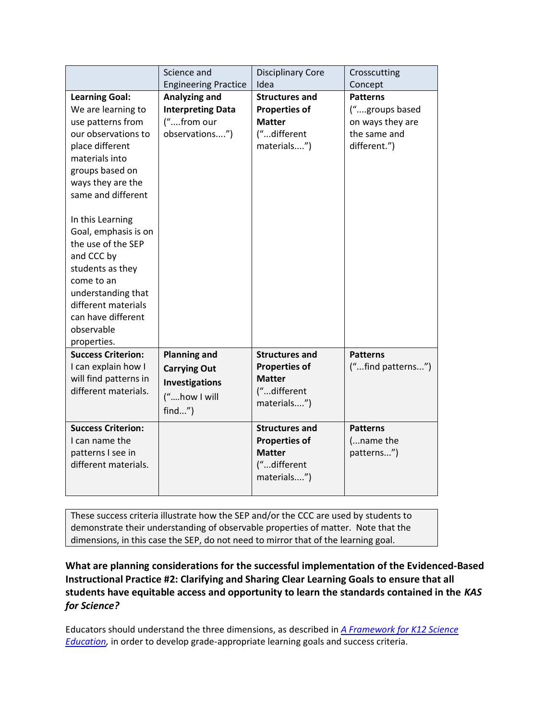|                                                                                                                                                                                                                                                                                                                                                                                                              | Science and<br><b>Engineering Practice</b>                                                       | <b>Disciplinary Core</b><br>Idea                                                             | Crosscutting<br>Concept                                                               |
|--------------------------------------------------------------------------------------------------------------------------------------------------------------------------------------------------------------------------------------------------------------------------------------------------------------------------------------------------------------------------------------------------------------|--------------------------------------------------------------------------------------------------|----------------------------------------------------------------------------------------------|---------------------------------------------------------------------------------------|
|                                                                                                                                                                                                                                                                                                                                                                                                              |                                                                                                  |                                                                                              |                                                                                       |
| <b>Learning Goal:</b><br>We are learning to<br>use patterns from<br>our observations to<br>place different<br>materials into<br>groups based on<br>ways they are the<br>same and different<br>In this Learning<br>Goal, emphasis is on<br>the use of the SEP<br>and CCC by<br>students as they<br>come to an<br>understanding that<br>different materials<br>can have different<br>observable<br>properties. | Analyzing and<br><b>Interpreting Data</b><br>("from our<br>observations")                        | <b>Structures and</b><br><b>Properties of</b><br><b>Matter</b><br>("different<br>materials") | <b>Patterns</b><br>("groups based<br>on ways they are<br>the same and<br>different.") |
| <b>Success Criterion:</b><br>I can explain how I<br>will find patterns in<br>different materials.                                                                                                                                                                                                                                                                                                            | <b>Planning and</b><br><b>Carrying Out</b><br><b>Investigations</b><br>("how I will<br>$find$ ") | <b>Structures and</b><br><b>Properties of</b><br><b>Matter</b><br>("different<br>materials") | <b>Patterns</b><br>("find patterns")                                                  |
| <b>Success Criterion:</b><br>I can name the<br>patterns I see in<br>different materials.                                                                                                                                                                                                                                                                                                                     |                                                                                                  | <b>Structures and</b><br><b>Properties of</b><br><b>Matter</b><br>("different<br>materials") | <b>Patterns</b><br>(name the<br>patterns")                                            |

These success criteria illustrate how the SEP and/or the CCC are used by students to demonstrate their understanding of observable properties of matter. Note that the dimensions, in this case the SEP, do not need to mirror that of the learning goal.

**What are planning considerations for the successful implementation of the Evidenced-Based Instructional Practice #2: Clarifying and Sharing Clear Learning Goals to ensure that all students have equitable access and opportunity to learn the standards contained in the** *KAS for Science?*

Educators should understand the three dimensions, as described in *[A Framework for K12 Science](https://www.nap.edu/catalog/13165/a-framework-for-k-12-science-education-practices-crosscutting-concepts#toc)  [Education,](https://www.nap.edu/catalog/13165/a-framework-for-k-12-science-education-practices-crosscutting-concepts#toc)* in order to develop grade-appropriate learning goals and success criteria.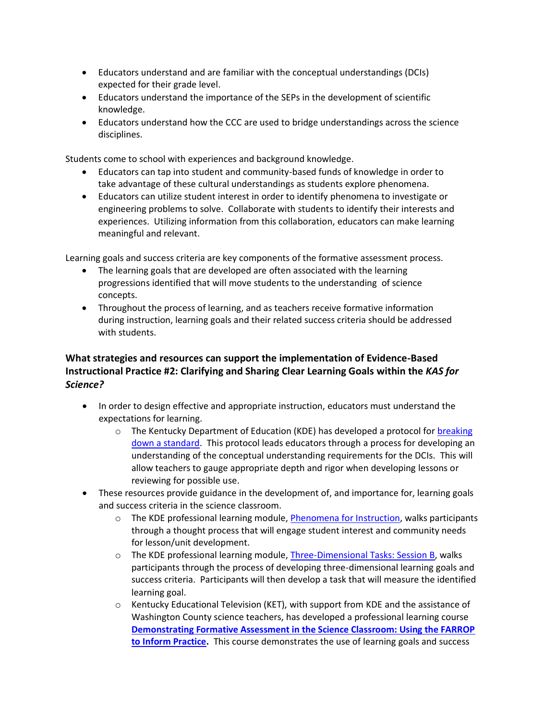- Educators understand and are familiar with the conceptual understandings (DCIs) expected for their grade level.
- Educators understand the importance of the SEPs in the development of scientific knowledge.
- Educators understand how the CCC are used to bridge understandings across the science disciplines.

Students come to school with experiences and background knowledge.

- Educators can tap into student and community-based funds of knowledge in order to take advantage of these cultural understandings as students explore phenomena.
- Educators can utilize student interest in order to identify phenomena to investigate or engineering problems to solve. Collaborate with students to identify their interests and experiences. Utilizing information from this collaboration, educators can make learning meaningful and relevant.

Learning goals and success criteria are key components of the formative assessment process.

- The learning goals that are developed are often associated with the learning progressions identified that will move students to the understanding of science concepts.
- Throughout the process of learning, and as teachers receive formative information during instruction, learning goals and their related success criteria should be addressed with students.

## **What strategies and resources can support the implementation of Evidence-Based Instructional Practice #2: Clarifying and Sharing Clear Learning Goals within the** *KAS for Science?*

- In order to design effective and appropriate instruction, educators must understand the expectations for learning.
	- $\circ$  The Kentucky Department of Education (KDE) has developed a protocol for breaking [down a standard.](https://education.ky.gov/curriculum/standards/kyacadstand/Documents/Breaking_Down_a_Science_Standard.pdf) This protocol leads educators through a process for developing an understanding of the conceptual understanding requirements for the DCIs. This will allow teachers to gauge appropriate depth and rigor when developing lessons or reviewing for possible use.
- These resources provide guidance in the development of, and importance for, learning goals and success criteria in the science classroom.
	- $\circ$  The KDE professional learning module, [Phenomena for Instruction,](https://kystandards.org/standards-resources/science-resources/sci-pl-mods/) walks participants through a thought process that will engage student interest and community needs for lesson/unit development.
	- o The KDE professional learning module, [Three-Dimensional Tasks: Session B,](https://kystandards.org/standards-resources/science-resources/sci-pl-mods/) walks participants through the process of developing three-dimensional learning goals and success criteria. Participants will then develop a task that will measure the identified learning goal.
	- $\circ$  Kentucky Educational Television (KET), with support from KDE and the assistance of Washington County science teachers, has developed a professional learning course **[Demonstrating Formative Assessment in the Science Classroom: Using the FARROP](https://thinktv.pbslearningmedia.org/resource/ket-pd-formative-assessment-science/formative-assessment-in-the-science-classroom/)  [to Inform Practice.](https://thinktv.pbslearningmedia.org/resource/ket-pd-formative-assessment-science/formative-assessment-in-the-science-classroom/)** This course demonstrates the use of learning goals and success